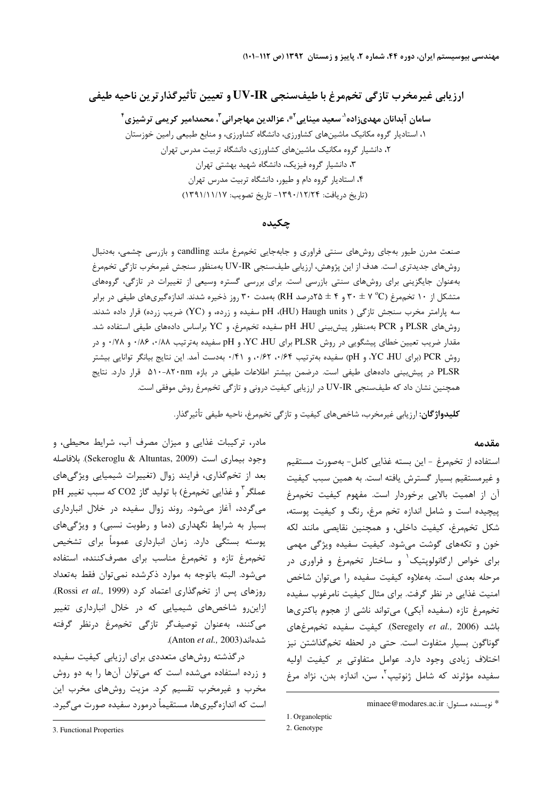ارزيابي غيرمخرب تازگي تخممرغ با طيفسنجي UV-IR و تعيين تأثيرگذارترين ناحيه طيفي

سامان آبدانان مهدیزاده<sup>۱</sup>′ سعید مینایی<sup>۲</sup>\*، عزالدین مهاجرانی<sup>۳</sup>، محمدامیر کریمی ترشیزی<sup>۴</sup> ۱، استادیار گروه مکانیک ماشینهای کشاورزی، دانشگاه کشاورزی، و منابع طبیعی رامین خوزستان ۲، دانشیار گروه مکانیک ماشینهای کشاورزی، دانشگاه تربیت مدرس تهران ۳، دانشیار گروه فیزیک، دانشگاه شهید بهشتی تهران ۴، استادیار گروه دام و طیور، دانشگاه تربیت مدرس تهران (تاريخ دريافت: ۱۳۹۰/۱۲/۲۴ - تاريخ تصويب: ۱۳۹۱/۱۱/۱۷)

### چکىدە

صنعت مدرن طیور بهجای روشهای سنتی فراوری و جابهجایی تخممرغ مانند candling و بازرسی چشمی، بهدنبال روشهای جدیدتری است. هدف از این پژوهش، ارزیابی طیفسنجی UV-IR بهمنظور سنجش غیرمخرب تازگی تخممرغ بهعنوان جایگزینی برای روشهای سنتی بازرسی است. برای بررسی گستره وسیعی از تغییرات در تازگی، گروههای متشکل از ۱۰ تخممرغ (C° ۷ ± ۳۰ و ۴ ± ۲۵درصد RH) بهمدت ۳۰ روز ذخیره شدند. اندازهگیریهای طیفی در برابر سه پارامتر مخرب سنجش تازگی ( HU) Haugh units)، pH سفیده و زرده، و (YC) ضریب زرده) قرار داده شدند. روشهای PLSR و PCR بهمنظور پیشبینی pH ،HU سفیده تخممرغ، و YC براساس دادههای طیفی استفاده شد. مقدار ضریب تعیین خطای پیشگویی در روش PLSR برای YC ،HU، و pH سفیده بهترتیب ۱۸۸، ۰/۸۶ و ۰/۷۸ و در روش PCR (برای YC ،HU)، و pH) سفیده بهترتیب ۰/۶۴، ۰/۶۲، و ۰/۴۱، بهدست آمد. این نتایج بیانگر توانایی بیشتر PLSR در پیش بینی دادههای طیفی است. درضمن بیشتر اطلاعات طیفی در بازه ۸۲۰-۸۲۰nm قرار دارد. نتایج همچنین نشان داد که طیفسنجی UV-IR در ارزیابی کیفیت درونی و تازگی تخممرغ روش موفقی است.

**كليدواژگان**: ارزيابي غيرمخرب، شاخصهاي كيفيت و تازگي تخممرغ، ناحيه طيفي تأثير گذار.

#### مقدمه

استفاده از تخممرغ - این بسته غذایی کامل- بهصورت مستقیم و غیرمستقیم بسیار گسترش یافته است. به همین سبب کیفیت آن از اهمیت بالایی برخوردار است. مفهوم کیفیت تخممرغ پیچیده است و شامل اندازه تخم مرغ، رنگ و کیفیت پوسته، شكل تخممرغ، كيفيت داخلي، و همچنين نقايصي مانند لكه خون و تکههای گوشت میشود. کیفیت سفیده ویژگی مهمی برای خواص ارگانولوپتیک و ساختار تخممرغ و فراوری در مرحله بعدی است. بهعلاوه کیفیت سفیده را می توان شاخص امنیت غذایی در نظر گرفت. برای مثال کیفیت نامرغوب سفیده تخم مرغ تازه (سفیده آبکی) می تواند ناشی از هجوم باکتریها باشد (Seregely et al., 2006). كيفيت سفيده تخم مرغهاى گوناگون بسیار متفاوت است. حتی در لحظه تخمگذاشتن نیز اختلاف زیادی وجود دارد. عوامل متفاوتی بر کیفیت اولیه سفیده مؤثرند که شامل ژنوتیپ<sup>۲</sup>، سن، اندازه بدن، نژاد مرغ

پوسته بستگی دارد. زمان انبارداری عموماً برای تشخیص تخم مرغ تازه وتخم مرغ مناسب برای مصرف کننده، استفاده می شود. البته باتوجه به موارد ذکرشده نمی توان فقط به تعداد روزهای پس از تخمگذاری اعتماد کرد (Rossi et al., 1999). ازاین رو شاخصهای شیمیایی که در خلال انبارداری تغییر مىكنند، بەعنوان توصيفگر تازگى تخممرغ درنظر گرفته .(Anton et al., 2003). درگذشته روشهای متعددی برای ارزیابی کیفیت سفیده

مادر، ترکیبات غذایی و میزان مصرف آب، شرایط محیطی، و

وجود بيماري است (Sekeroglu & Altuntas, 2009). بلافاصله

بعد از تخم گذاری، فرایند زوال (تغییرات شیمیایی ویژگیهای

عملگر <sup>۲</sup> و غذایی تخممرغ) با تولید گاز CO2 که سبب تغییر pH

میگردد، آغاز میشود. روند زوال سفیده در خلال انبارداری

بسیار به شرایط نگهداری (دما و رطوبت نسبی) و ویژگیهای

و زرده استفاده میشده است که میتوان آنها را به دو روش مخرب و غیرمخرب تقسیم کرد. مزیت روشهای مخرب این است که اندازهگیریها، مستقیماً درمورد سفیده صورت میگیرد.

<sup>\*</sup> نويسنده مسئول: minaee@modares.ac.ir

<sup>1.</sup> Organoleptic

<sup>2.</sup> Genotype

<sup>3.</sup> Functional Properties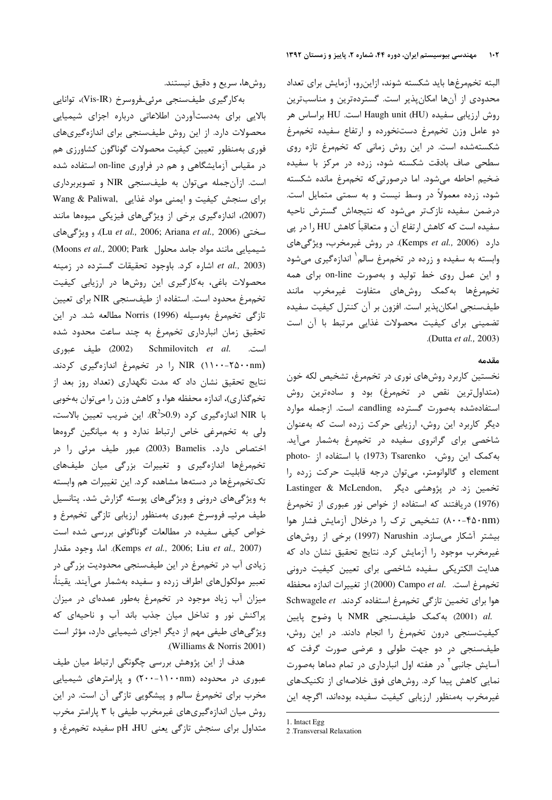البته تخممرغها بايد شكسته شوند، ازاين٫و، آزمايش براي تعداد محدودی از آنها امکان پذیر است. گستردهترین و مناسبترین روش ارزیابی سفیده Haugh unit (HU) است. HU براساس هر دو عامل وزن تخممرغ دستنخورده و ارتفاع سفيده تخممرغ شکستهشده است. در این روش زمانی که تخممرغ تازه روی سطحی صاف بادقت شکسته شود، زرده در مرکز با سفیده ضخیم احاطه میشود. اما درصورتیکه تخممرغ مانده شکسته شود، زرده معمولاً در وسط نیست و به سمتی متمایل است. درضمن سفیده نازکتر میشود که نتیجهاش گسترش ناحیه سفیده است که کاهش ارتفاع آن و متعاقباً کاهش HU را در پی دارد (Kemps et al., 2006). در روش غیرمخرب، ویژگیهای وابسته به سفیده و زرده در تخممرغ سالم` اندازهگیری میشود و این عمل روی خط تولید و بهصورت on-line برای همه تخممرغها بهكمك روشهاى متفاوت غيرمخرب مانند طیفسنجی امکان پذیر است. افزون بر آن کنترل کیفیت سفیده تضمینی برای کیفیت محصولات غذایی مرتبط با آن است .(Dutta et al., 2003)

### مقدمه

نخستین کاربرد روشهای نوری در تخممرغ، تشخیص لکه خون (متداول ترین نقص در تخم مرغ) بود و سادهترین روش استفادهشده بهصورت گسترده candling، است. ازجمله موارد دیگر کاربرد این روش، ارزیابی حرکت زرده است که بهعنوان شاخصی برای گرانروی سفیده در تخممرغ بهشمار میآید. به کمک این روش، Tsarenko (1973) با استفاده از -photo element و گالوانومتر، میتوان درجه قابلیت حرکت زرده را تخمین زد. در پژوهشی دیگر ,Lastinger & McLendon (1976) دریافتند که استفاده از خواص نور عبوری از تخممرغ (۸۰۰-۴۵۰nm) تشخیص ترک را درخلال آزمایش فشار هوا بیشتر آشکار می سازد. Narushin (1997) برخی از روش های غیرمخرب موجود را آزمایش کرد. نتایج تحقیق نشان داد که هدایت الکتریکی سفیده شاخصی برای تعیین کیفیت درونی تخممرغ است. .Campo et al (2000) از تغييرات اندازه محفظه هوا برای تخمین تازگی تخممرغ استفاده کردند. Schwagele et .al (2001) به كمك طيف سنجى NMR با وضوح پايين کیفیتسنجی درون تخممرغ را انجام دادند. در این روش، طیف سنجی در دو جهت طولی و عرضی صورت گرفت که آسایش جانبی ` در هفته اول انبارداری در تمام دماها بهصورت نمایی کاهش پیدا کرد. روشهای فوق خلاصهای از تکنیکهای غیرمخرب بهمنظور ارزیابی کیفیت سفیده بودهاند، اگرچه این

1. Intact Egg

روشها، سريع و دقيق نيستند.

به كارگيرى طيف سنجى مرئى فروسرخ (Vis-IR)، توانايي بالایی برای بهدستآوردن اطلاعاتی درباره اجزای شیمیایی محصولات دارد. از این روش طیفسنجی برای اندازهگیریهای فوري بهمنظور تعيين كيفيت محصولات گوناگون كشاورزي هم در مقیاس آزمایشگاهی و هم در فراوری on-line استفاده شده است. ازآن جمله می توان به طیفسنجی NIR و تصویربرداری Wang & Paliwal, برای سنجش کیفیت و ایمنی مواد غذایی (2007)، اندازهگیری برخی از ویژگیهای فیزیکی میوهها مانند سختی (Lu et al., 2006; Ariana et al., 2006)، و ویژگیهای (Moons et al., 2000; Park محلول ) اشاره كرد. باوجود تحقيقات كسترده در زمينه et al., 2003) محصولات باغی، بهکارگیری این روشها در ارزیابی کیفیت تخممرغ محدود است. استفاده از طیفسنجی NIR برای تعیین تازگی تخممرغ بەوسیلە Norris (1996) مطالعه شد. در این تحقیق زمان انبارداری تخممرغ به چند ساعت محدود شده است. Schmilovitch et al. (2002) طيف عبوري NIR (۱۱۰۰-۲۵۰۰nm) را در تخمهرغ اندازهگیری کردند. نتایج تحقیق نشان داد که مدت نگهداری (تعداد روز بعد از تخمگذاری)، اندازه محفظه هوا، و کاهش وزن را میتوان بهخوبی با NIR اندازهگیری کرد (R<sup>2</sup>>0.9. این ضریب تعیین بالاست، ولی به تخممرغی خاص ارتباط ندارد و به میانگین گروهها اختصاص دارد. Bamelis (2003) عبور طيف مرئي را در تخمهرغها اندازهگیری و تغییرات بزرگی میان طیفهای تک تخم مرغها در دستهها مشاهده کرد. این تغییرات هم وابسته به ویژگیهای درونی و ویژگیهای پوسته گزارش شد. پتانسیل طیف مرئیـ فروسرخ عبوری بهمنظور ارزیابی تازگی تخممرغ و خواص کیفی سفیده در مطالعات گوناگونی بررسی شده است (Kemps et al., 2006; Liu et al., 2007). اما، وجود مقدار زیادی آب در تخممرغ در این طیفسنجی محدودیت بزرگی در تعبیر مولکولهای اطراف زرده و سفیده بهشمار میآیند. یقیناً، میزان آب زیاد موجود در تخممرغ بهطور عمدهای در میزان پراکنش نور و تداخل میان جذب باند آب و ناحیهای که ویژگیهای طیفی مهم از دیگر اجزای شیمیایی دارد، مؤثر است (Williams & Norris 2001)

هدف از این پژوهش بررسی چگونگی ارتباط میان طیف عبوری در محدوده (۱۱۰۰nm-۱۱۰۰nm) و پارامترهای شیمیایی مخرب برای تخممرغ سالم و پیشگویی تازگی آن است. در این روش میان اندازهگیریهای غیرمخرب طیفی با ۳ پارامتر مخرب متداول برای سنجش تازگی یعنی pH ،HU سفیده تخممرغ، و

<sup>2 .</sup>Transversal Relaxation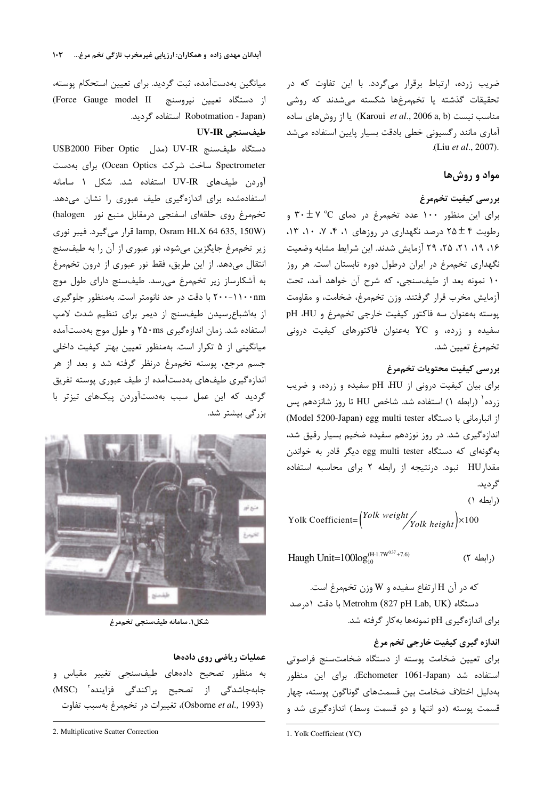ضریب زرده، ارتباط برقرار میگردد. با این تفاوت که در تحقیقات گذشته یا تخممرغها شکسته میشدند که روشی  $\mu$ زا نیست (Karoui *et al.*, 2006 a, b) مناسب نیست آماری مانند رگسیونی خطی بادقت بسیار پایین استفاده میشد (Liu et al., 2007).

# مواد و روشها

# بررسى كيفيت تخممرغ

برای این منظور ۱۰۰ عدد تخممرغ در دمای C° ۲۰ ± ۲ و رطوبت ۴ ± ۲۵ درصد نگهداری در روزهای ۰، ۴، ۷، ۱۰، ۱۳، ١۶، ١٩، ٢١، ٢٥، ٢٩ آزمايش شدند. اين شرايط مشابه وضعيت نگهداری تخممرغ در ایران درطول دوره تابستان است. هر روز ١٠ نمونه بعد از طيفسنجي، كه شرح آن خواهد آمد، تحت آزمايش مخرب قرار گرفتند. وزن تخممرغ، ضخامت، و مقاومت پوسته بهعنوان سه فاكتور كيفيت خارجى تخم مرغ و pH JH سفیده و زرده، و YC بهعنوان فاکتورهای کیفیت درونی تخممرغ تعيين شد.

# بررسى كيفيت محتويات تخممرغ

برای بیان کیفیت درونی از pH ،HU سفیده و زرده، و ضریب زرده<sup>۱</sup> (رابطه ۱) استفاده شد. شاخص HU تا روز شانزدهم پس از انبارمانی با دستگاه Model 5200-Japan) egg multi tester) اندازهگیری شد. در روز نوزدهم سفیده ضخیم بسیار رقیق شد، بهگونهای که دستگاه egg multi tester دیگر قادر به خواندن مقدارHU نبود. درنتيجه از رابطه ٢ براى محاسبه استفاده گر دید.

(رابطه ١) Yolk Coefficient= $\binom{Yolk \ weight}{Yolk \ height} \times 100$ 

Haugh Unit=100log(H-1.7W0.37+7.6) (ر ابطه ٢)

که در آن H ارتفاع سفیده و W وزن تخممرغ است. دستگاه Metrohm (827 pH Lab, UK) با دقت ١درصد برای اندازهگیری pH نمونهها به کار گرفته شد.

اندازه گیری کیفیت خارجی تخم مرغ برای تعیین ضخامت پوسته از دستگاه ضخامتسنج فراصوتی استفاده شد (Echometer 1061-Japan). برای این منظور بەدليل اختلاف ضخامت بين قسمتھاي گوناگون پوسته، چهار قسمت پوسته (دو انتها و دو قسمت وسط) اندازهگیری شد و

میانگین بهدستآمده، ثبت گردید. برای تعیین استحکام پوسته، از دستگاه تعیین نیروسنج [Force Gauge model II] (Robotmation - Japan استفاده گردید.

# طيفسنجى UV-IR

USB2000 Fiber Optic (مدل UV-IR دستگاه طیفسنج USB2000 Fiber Optic Spectrometer ساخت شرکت Ocean Optics) برای بهدست آوردن طيفهاى UV-IR استفاده شد. شكل ١ سامانه استفادهشده برای اندازهگیری طیف عبوری را نشان میدهد. تخم مرغ روى حلقهاى اسفنجى درمقابل منبع نور (halogen) lamp, Osram HLX 64 635, 150W) قرار می گیرد. فیبر نوری زیر تخممرغ جایگزین میشود، نور عبوری از آن را به طیفسنج انتقال میدهد. از این طریق، فقط نور عبوری از درون تخممرغ به آشکارساز زیر تخممرغ می رسد. طیف سنج دارای طول موج ۲۰۰-۱۱۰۰nm با دقت در حد نانومتر است. بهمنظور جلوگیری از بهاشباع رسیدن طیفسنج از دیمر برای تنظیم شدت لامپ استفاده شد. زمان اندازهگیری ۲۵۰ms و طول موج بهدستآمده میانگینی از ۵ تکرار است. بهمنظور تعیین بهتر کیفیت داخلی جسم مرجع، پوسته تخممرغ درنظر گرفته شد و بعد از هر اندازهگیری طیفهای بهدستآمده از طیف عبوری پوسته تفریق گردید که این عمل سبب بهدستآوردن پیکهای تیزتر با بزرگی بیشتر شد.



شكل۱. سامانه طيفسنجي تخممرغ

### عملیات ریاضی روی دادهها

به منظور تصحیح دادههای طیفسنجی تغییر مقیاس و جابهجاشدگی از تصحیح پراکندگی فزاینده<sup>۲</sup> (MSC) (Osborne et al., 1993)، تغییرات در تخممرغ بهسبب تفاوت

<sup>1.</sup> Yolk Coefficient (YC)

<sup>2.</sup> Multiplicative Scatter Correction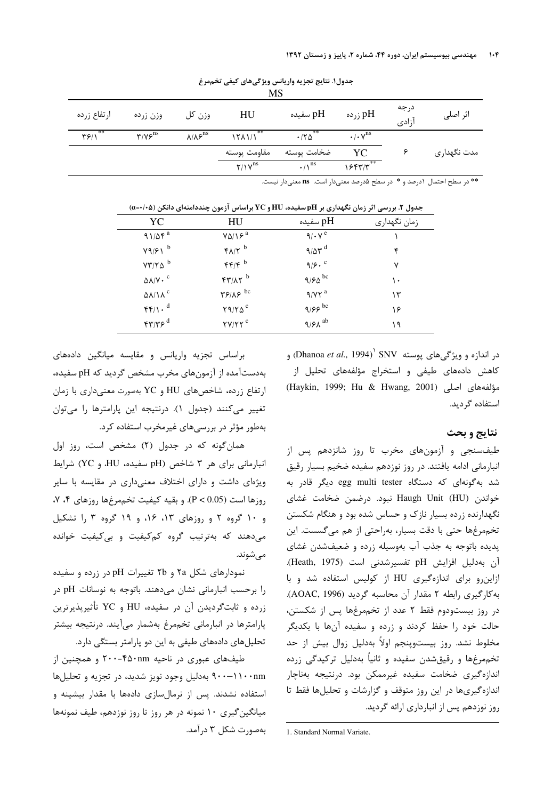| MS          |                                      |                                   |                     |                                              |                                        |               |             |  |  |  |
|-------------|--------------------------------------|-----------------------------------|---------------------|----------------------------------------------|----------------------------------------|---------------|-------------|--|--|--|
| ارتفاع زرده | وزن زرده                             | وزن کل                            | HU                  | pH سفيده                                     | pH زرده                                | درجه<br>أزادى | اثر اصلی    |  |  |  |
| **<br>۳۶۱۱  | $\mathbf{r}/v\mathbf{s}^{\text{ns}}$ | $\lambda/\lambda$ ۶ <sup>ns</sup> | **<br>15A1/1        | **<br>$\cdot$ / $\uparrow \uparrow \uparrow$ | $\cdot$ / $\cdot$ $\vee$ <sup>ns</sup> |               |             |  |  |  |
|             |                                      |                                   | مقاومت پوسته        | ضخامت پوسته                                  | YC                                     |               | مدت نگهداری |  |  |  |
|             |                                      |                                   | $Y/Y$ <sup>ns</sup> | $\cdot$ / $\Lambda$ <sup>ns</sup>            | 15577                                  |               |             |  |  |  |

جدول١. نتايج تجزيه واريانس ويژگىهاى كيفى تخممرغ

\*\* در سطح احتمال ۱درصد و \* در سطح ۵درصد معنیدار است. ns معنیدار نیست.

| YC                                                     | <b>HU</b>                                                        | pH سفیده                   | زمان نگهداری |
|--------------------------------------------------------|------------------------------------------------------------------|----------------------------|--------------|
| 91/88a                                                 | $Y\Delta/Y^a$                                                    | $9/\cdot V^e$              |              |
| $Y9/F1$ <sup>b</sup>                                   | $f\Lambda/\Upsilon$ <sup>b</sup>                                 | $9/8r^d$                   | ۴            |
| $VT/Y\Delta$ <sup>b</sup>                              | f(f)                                                             | 9/9.                       | ٧            |
| $\Delta\lambda/V \cdot$ <sup>c</sup>                   | $FT/AY$ <sup>b</sup>                                             | 9/60                       | ۱۰           |
| $\Delta\lambda/\lambda^c$                              | $\mathbf{Y}$ $\mathbf{Y}$ $\mathbf{X}$ $\mathbf{X}$ $\mathbf{X}$ | $9/17^a$                   | ۱۳           |
| $\mathfrak{f}\mathfrak{f}/\mathfrak{f}$ . <sup>d</sup> | $Y9/Y0^c$                                                        | ۹/۶۶ $^{\rm bc}$           | ۱۶           |
| $f\gamma/\gamma \epsilon^d$                            | $\mathsf{Y} \mathsf{Y} / \mathsf{Y} \mathsf{Y}^c$                | $9/8\lambda$ <sup>ab</sup> | ۱۹           |

جدول ۲. بررسی اثر زمان نگهداری بر pH سفیده، HU و YC براساس آزمون چنددامنهای دانکن (۵+/0=0)

ور اندازه و ویژگیهای پوسته SNV (Dhanoa *et al.*, 1994) و کاهش دادههای طیفی و استخراج مؤلفههای تحلیل از (Haykin, 1999; Hu & Hwang, 2001) مؤلفههای اصلی استفاده گردید.

# نتايج و بحث

طیفسنجی و آزمونهای مخرب تا روز شانزدهم پس از انبارمانی ادامه یافتند. در روز نوزدهم سفیده ضخیم بسیار رقیق شد بهگونهای که دستگاه egg multi tester دیگر قادر به خواندن Haugh Unit (HU) نبود. درضمن ضخامت غشای نگهدارنده زرده بسیار نازک و حساس شده بود و هنگام شکستن تخم مرغها حتى با دقت بسيار، بهراحتى از هم مى گسست. اين پدیده باتوجه به جذب آب بهوسیله زرده و ضعیفشدن غشای آن بهدلیل افزایش pH تفسیرشدنی است (Heath, 1975). ازاین رو برای اندازهگیری HU از کولیس استفاده شد و با به كاركيرى رابطه ٢ مقدار آن محاسبه كرديد (AOAC, 1996). در روز بیستودوم فقط ٢ عدد از تخممرغها پس از شکستن، حالت خود را حفظ کردند و زرده و سفیده آنها با یکدیگر مخلوط نشد. روز بیستوپنجم اولاً بهدلیل زوال بیش از حد تخم مرغها و رقیق شدن سفیده و ثانیاً بهدلیل ترکیدگی زرده اندازه گیری ضخامت سفیده غیرممکن بود. درنتیجه بهناچار اندازه گیریها در این روز متوقف و گزارشات و تحلیلها فقط تا روز نوزدهم پس از انبارداری ارائه گردید.

براساس تجزیه واریانس و مقایسه میانگین دادههای بهدستآمده از آزمونهای مخرب مشخص گردید که pH سفیده، ارتفاع زرده، شاخص های HU و YC بهصورت معنی داری با زمان تغییر میکنند (جدول ۱). درنتیجه این پارامترها را میتوان بهطور مؤثر در بررسیهای غیرمخرب استفاده کرد.

همان گونه که در جدول (۲) مشخص است، روز اول انبارمانی برای هر ۳ شاخص (pH سفیده، HU، و YC) شرایط ویژهای داشت و دارای اختلاف معنیداری در مقایسه با سایر روزها است (P < 0.05). و بقيه كيفيت تخم مرغها روزهاي ۴، ۷، و ۱۰ گروه ۲ و روزهای ۱۳، ۱۶، و ۱۹ گروه ۳ را تشکیل می دهند که بهترتیب گروه کم کیفیت و بی کیفیت خوانده مىشوند.

نمودارهای شکل ۲۵ و ۲b تغییرات pH در زرده و سفیده را برحسب انبارمانی نشان میدهند. باتوجه به نوسانات pH در زرده و ثابت $\ell$ ردیدن آن در سفیده، HU و YC تأثیرپذیرترین پارامترها در انبارمانی تخممرغ بهشمار میآیند. درنتیجه بیشتر تحلیلهای دادههای طیفی به این دو پارامتر بستگی دارد.

طیفهای عبوری در ناحیه ۴۵۰nm-۲۰۰ و همچنین از ۹۰۰–۱۱۰۰nm بهدلیل وجود نویز شدید، در تجزیه و تحلیلها استفاده نشدند. پس از نرمالسازی دادهها با مقدار بیشینه و میانگین گیری ۱۰ نمونه در هر روز تا روز نوزدهم، طیف نمونهها بەصورت شكل ۳ درآمد.

<sup>1.</sup> Standard Normal Variate.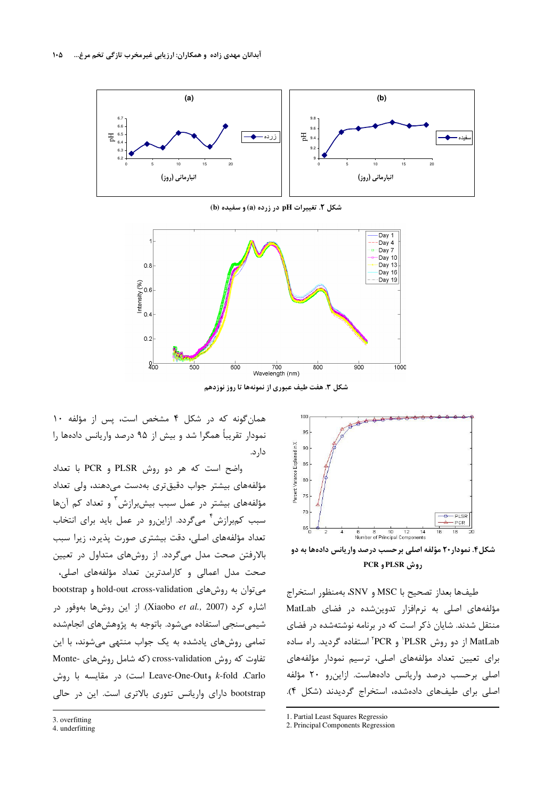

شکل ۲. تغییرات pH در زرده (a) و سفیده (b)



شکل ۳. هفت طیف عبوری از نمونهها تا روز نوزدهم

همان گونه که در شکل ۴ مشخص است، پس از مؤلفه ١٠ نمودار تقریباً همگرا شد و بیش از ۹۵ درصد واریانس دادهها را دار د.

واضح است كه هر دو روش PLSR و PCR با تعداد مؤلفههای بیشتر جواب دقیق تری بهدست میدهند، ولی تعداد مؤلفههای بیشتر در عمل سبب بیشبرازش آ و تعداد کم آنها سبب کمبرازش آ میگردد. ازاین و در عمل باید برای انتخاب تعداد مؤلفههای اصلی، دقت بیشتری صورت پذیرد، زیرا سبب بالارفتن صحت مدل میگردد. از روشهای متداول در تعیین صحت مدل اعمالی و کارامدترین تعداد مؤلفههای اصلی، میتوان به روشهای hold-out cross-validation و bootstrap اشاره کرد (Xiaobo et al., 2007). از این روشها بهوفور در شیمیسنجی استفاده میشود. باتوجه به پژوهشهای انجامشده تمامی روشهای یادشده به یک جواب منتهی می شوند، با این تفاوت که روش cross-validation (که شامل روشهای -Monte k-fold .Carlo وLeave-One-Out است) در مقايسه با روش bootstrap دارای واریانس تئوری بالاتری است. این در حالی

شکل۴. نمودار۲۰ مؤلفه اصلی برحسب درصد واریانس دادهها به دو **PCR و PLSR** و PCR

طيفها بعداز تصحيح با MSC و SNV، بهمنظور استخراج مؤلفههای اصلی به نرمافزار تدوین شده در فضای MatLab منتقل شدند. شایان ذکر است که در برنامه نوشتهشده در فضای MatLab از دو روش PLSR' و PCR<sup>'</sup> استفاده گردید. راه ساده برای تعیین تعداد مؤلفههای اصلی، ترسیم نمودار مؤلفههای اصلی برحسب درصد واریانس دادههاست. ازاین رو ۲۰ مؤلفه اصلی برای طیفهای دادهشده، استخراج گردیدند (شکل ۴).

- 1. Partial Least Squares Regressio
- 2. Principal Components Regression

4. underfitting

<sup>95</sup> Percent Variance Explained in X 90 85 80  $\overline{75}$ 70 - PLSR<br>- PCR  $65$ 6 8 10 12 14<br>Number of Principal Components

<sup>3.</sup> overfitting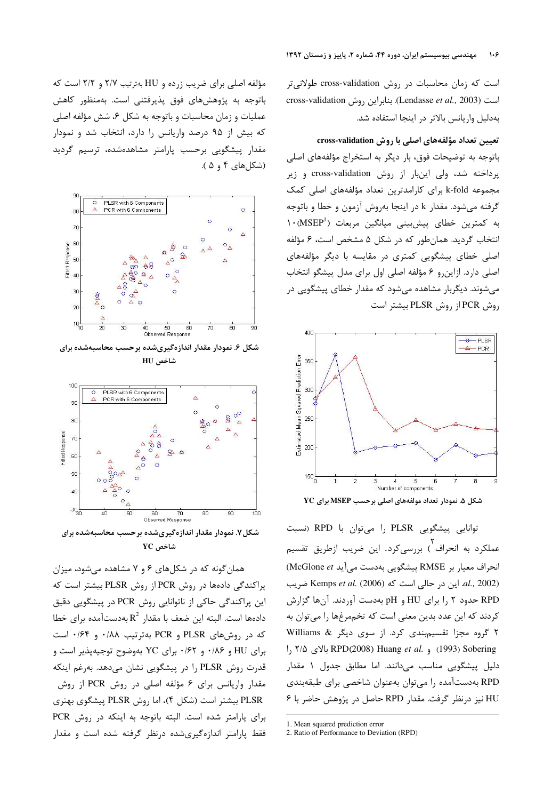است که زمان محاسبات در روش cross-validation طولانی تر cross-validation (Lendasse et al., 2003). بنابراين روش بهدليل واريانس بالاتر در اينجا استفاده شد.

#### تعیین تعداد مؤلفههای اصلی با روش cross-validation

باتوجه به توضیحات فوق، بار دیگر به استخراج مؤلفههای اصلی پرداخته شد، ولی اینبار از روش cross-validation و زیر مجموعه k-fold برای کارامدترین تعداد مؤلفههای اصلی کمک گرفته میشود. مقدار k در اینجا بهروش آزمون و خطا و باتوجه به كمترين خطاى پيشبينى ميانگين مربعات (MSEP<sup>1</sup>) انتخاب گردید. همانطور که در شکل ۵ مشخص است، ۶ مؤلفه اصلی خطای پیشگویی کمتری در مقایسه با دیگر مؤلفههای اصلی دارد. ازاینرو ۶ مؤلفه اصلی اول برای مدل پیشگو انتخاب میشوند. دیگربار مشاهده میشود که مقدار خطای پیشگویی در روش PCR از روش PLSR بیشتر است



توانایی پیشگویی PLSR را می توان با RPD (نسبت عملکرد به انحراف <sup>۱</sup>) بررسیکرد. این ضریب ازطریق تقسیم انحراف معيار بر RMSE پيشكويي بهدست مي آيد McGlone et) al., 2002) این در حالی است که Kemps et al. (2006) ضریب RPD حدود ۲ ,ا برای HU و pH بهدست آوردند. آنها گزارش کردند که این عدد بدین معنی است که تخممرغها را میتوان به ۲ گروه مجزا تقسیم بندی کرد. از سوی دیگر & Williams 1, ۲/۵ (1993) و .RPD(2008) Huang et al. و RPD(2008) دلیل پیشگویی مناسب میدانند. اما مطابق جدول ۱ مقدار RPD بهدست آمده را می توان بهعنوان شاخصی برای طبقهبندی HU نیز درنظر گرفت. مقدار RPD حاصل در پژوهش حاضر با ۶

مؤلفه اصلی برای ضریب زرده و HU بهترتیب ۲/۷ و ۲/۲ است که باتوجه به پژوهشهای فوق پذیرفتنی است. بهمنظور کاهش عملیات و زمان محاسبات و باتوجه به شکل ۶، شش مؤلفه اصلی که بیش از ۹۵ درصد واریانس را دارد، انتخاب شد و نمودار مقدار پیشگویی برحسب پارامتر مشاهدهشده، ترسیم گردید (شكل های ۴ و ۵).



شکل ۶. نمودار مقدار اندازهگیریشده برحسب محاسبهشده برای شاخص HU



شکل۷. نمودار مقدار اندازهگیریشده برحسب محاسبهشده برای شاخص YC

همان گونه که در شکلهای ۶ و ۷ مشاهده میشود، میزان پراکندگی دادهها در روش PCR از روش PLSR بیشتر است که این پراکندگی حاکی از ناتوانایی روش PCR در پیشگویی دقیق دادهها است. البته این ضعف با مقدار  $R^2$  بهدستآمده برای خطا که در روشهای PLSR و PCR بهترتیب ۰/۸۸ و ۰/۶۴ است برای HU و ۱/۸۶ و ۰/۶۲ برای YC بهوضوح توجیهپذیر است و قدرت روش PLSR را در پیشگویی نشان میدهد. بهرغم اینکه مقدار واریانس برای ۶ مؤلفه اصلی در روش PCR از روش PLSR بیشتر است (شکل ۴)، اما روش PLSR پیشگوی بهتری برای پارامتر شده است. البته باتوجه به اینکه در روش PCR فقط پارامتر اندازهگیریشده درنظر گرفته شده است و مقدار

<sup>1.</sup> Mean squared prediction error

<sup>2.</sup> Ratio of Performance to Deviation (RPD)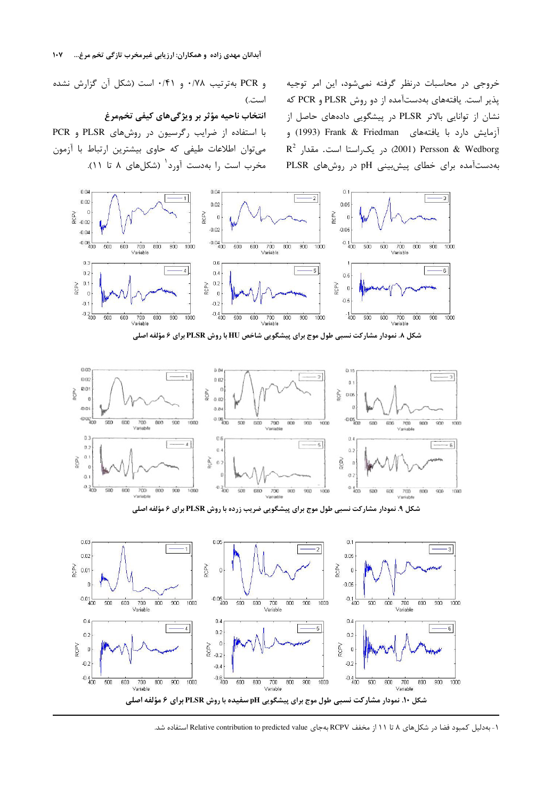خروجی در محاسبات درنظر گرفته نمیشود، این امر توجیه پذیر است. یافتههای بهدستآمده از دو روش PLSR و PCR که نشان از توانایی بالاتر PLSR در پیشگویی دادههای حاصل از آزمایش دارد با یافتههای Frank & Friedman (1993) و  $\emph{R}^2$  در يكراستا است. مقدار 2 $\emph{2001}$  Persson & Wedborg بهدستآمده برای خطای پیشبینی pH در روشهای PLSR

و PCR بهترتیب ۰/۷۸ و ۰/۴۱ است (شکل آن گزارش نشده است.)

#### انتخاب ناحیه مؤثر بر ویژگیهای کیفی تخممرغ

با استفاده از ضرایب رگرسیون در روشهای PLSR و PCR میتوان اطلاعات طیفی که حاوی بیشترین ارتباط با آزمون مخرب است را بهدست آورد<sup>۱</sup> (شکلهای ۸ تا ۱۱).



 $0<sup>th</sup>$  $0.01$  $0.1$  $-1$  $-3$  $000$  $0.02$  $\mathfrak{a}$  $0.0$ ğ ROPV ĝ 0.06  $0.02$  $\theta$  $00i$  $0.04$  $rac{1}{100}$  $rac{1}{200}$  $-605$  $\overline{500}$ 500 600 700 800 900 1000 600  $\begin{tabular}{c} 700 & 800 \\ \hline Vastable \end{tabular}$  $000$ 1000 500 600 700 800 900 1000 Variable  $0.3$  $0.6$  $0.4$  $\hspace{3.7cm} - \hspace{3.7cm}$  <br> 4  $\hspace{3.7cm}$  $\sim$   $\sim$   $\sim$  $0.2$  $0.4$  $0.2$  $0.1$ kaos  $502$ š  $\mathbf{n}$  $\ddot{0}$  $\sigma$  $0.1$  $0.360$  $0.300$  $0.4<sub>100</sub>$ 500 600  $700$  $_{\rm ECO}$  $900$  $500$  $600$  $900$ 700 500  $700$ 800 800 900 600 1000

شکل ۹. نمودار مشارکت نسبی طول موج برای پیشگویی ضریب زرده با روش PLSR برای ۶ مؤلفه اصلی



۱- بهدلیل کمبود فضا در شکلهای ۸ تا ۱۱ از مخفف RCPV بهجای Relative contribution to predicted value استفاده شد.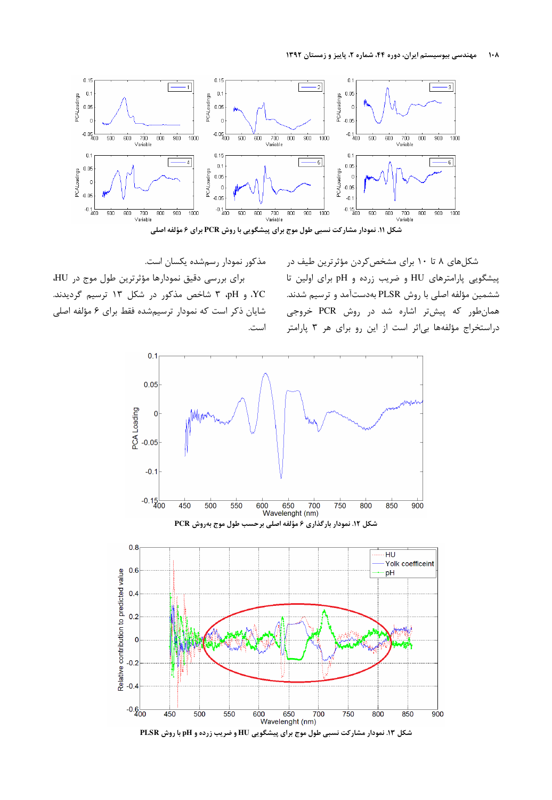#### مهندسی بیوسیستم ایران، دوره ۴۴، شماره ۲، پاییز و زمستان ۱۳۹۲  $\mathsf{L}\cdot\mathsf{A}$





شکلهای ۸ تا ۱۰ برای مشخص کردن مؤثرترین طیف در پیشگویی پارامترهای HU و ضریب زرده و pH برای اولین تا ششمین مؤلفه اصلی با روش PLSR بهدستآمد و ترسیم شدند. همانطور که پیشتر اشاره شد در روش PCR خروجی دراستخراج مؤلفهها بیاثر است از این رو برای هر ٣ پارامتر

برای بررسی دقیق نمودارها مؤثرترین طول موج در HU، YC، و pH، ٣ شاخص مذکور در شکل ١٣ ترسيم گرديدند. شایان ذکر است که نمودار ترسیمشده فقط برای ۶ مؤلفه اصلی است.

مذکور نمودار رسمشده یکسان است.

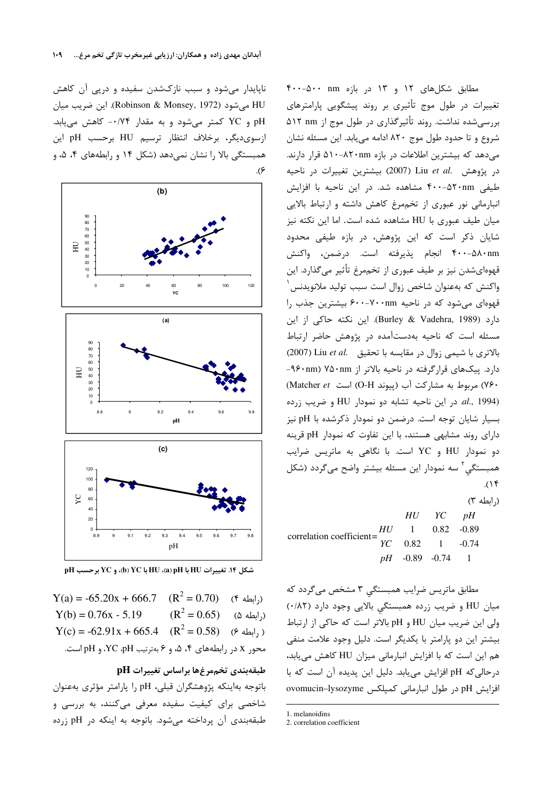ناپایدار میشود و سبب نازکشدن سفیده و درپی آن کاهش HU می شود (Robinson & Monsey, 1972). این ضریب میان pH و YC كمتر مى شود و به مقدار ٠/٧۴- كاهش مى يابد. ازسوى ديگر، برخلاف انتظار ترسيم HU برحسب pH اين همبستگی بالا را نشان نمیدهد (شکل ۱۴ و رابطههای ۴، ۵، و



شكل ١٤. تغييرات HU با HU، (a) pH با YC (d) ، و YC برحسب pH

 $Y(a) = -65.20x + 666.7$   $(R^2 = 0.70)$  (\* (ابطه)  $(R^2 = 0.65)$  ( $\phi$ ابطه ۵)  $Y(b) = 0.76x - 5.19$  $Y(c) = -62.91x + 665.4$   $(R^2 = 0.58)$   $(6.91x + 665.4)$ محور X در رابطههای ۴، ۵، و ۶ بهترتیب YC ،pH، و pH است.

# طبقهبندي تخممرغها براساس تغييرات pH

باتوجه بهاینکه پژوهشگران قبلی، pH را پارامتر مؤثری بهعنوان شاخصی برای کیفیت سفیده معرفی میکنند، به بررسی و طبقهبندی آن پرداخته میشود. باتوجه به اینکه در pH زرده

مطابق شکلهای ۱۲ و ۱۳ در بازه nm ۴۰۰-۵۰۰ تغییرات در طول موج تأثیری بر روند پیشگویی پارامترهای بررسی شده نداشت. روند تأثیر گذاری در طول موج از ۵۱۲ am شروع وتا حدود طول موج ۸۲۰ ادامه می یابد. این مسئله نشان میدهد که بیشترین اطلاعات در بازه ۸۲۰nm-۵۱۰ قرار دارند. در پژوهش .Liu et al (2007) بيشترين تغييرات در ناحيه طیفی ۴۰۰-۵۲۰nm مشاهده شد. در این ناحیه با افزایش انبارمانی نور عبوری از تخممرغ کاهش داشته و ارتباط بالایی میان طیف عبوری با HU مشاهده شده است. اما این نکته نیز شایان ذکر است که این پژوهش، در بازه طیفی محدود ۴۰۰-۵۸۰nm انجام پذیرفته است. درضمن، واکنش قهوهایشدن نیز بر طیف عبوری از تخممرغ تأثیر میگذارد. این واكنش كه بهعنوان شاخص زوال است سبب توليد ملانويدنس قهوهای می شود که در ناحیه ۷۰۰-۷۰۰mm بیشترین جذب را دارد (Burley & Vadehra, 1989). این نکته حاکی از این مسئله است که ناحیه بهدستآمده در پژوهش حاضر ارتباط بالاترى با شيمى زوال در مقايسه با تحقيق .Liu et al. (2007) دارد. پیکهای قرارگرفته در ناحیه بالاتر از ۹۶۰nm) ۷۵۰nm .۷۶) مربوط به مشاركت آب (پيوند O-H) است Matcher et) al., 1994). در این ناحیه تشابه دو نمودار HU و ضریب زرده بسیار شایان توجه است. درضمن دو نمودار ذکرشده با pH نیز دارای روند مشابهی هستند، با این تفاوت که نمودار pH قرینه دو نمودار HU و YC است. با نگاهی به ماتریس ضرایب همبستگی<sup>۲</sup> سه نمودار این مسئله بیشتر واضح میگردد (شکل  $(1)^6$ 

(رابطه ٣)

|                          |  | $HU$ $YC$ $pH$      |  |
|--------------------------|--|---------------------|--|
| correlation coefficient= |  | $HU = 1$ 0.82 -0.89 |  |
|                          |  | $YC$ 0.82 1 -0.74   |  |
|                          |  | $pH -0.89 -0.74 1$  |  |

مطابق ماتریس ضرایب همبستگی ۳ مشخص میگردد که میان HU و ضریب زرده همبستگی بالایی وجود دارد (٠/٨٢) ولی این ضریب میان HU و pH بالاتر است که حاکی از ارتباط بیشتر این دو پارامتر با یکدیگر است. دلیل وجود علامت منفی هم این است که با افزایش انبارمانی میزان HU کاهش می یابد، درحالی که pH افزایش می یابد. دلیل این پدیده آن است که با ovomucin-lysozyme در طول انبارمانی کمپلکس ovomucin-lysozyme

<sup>1.</sup> melanoidins

<sup>2.</sup> correlation coefficient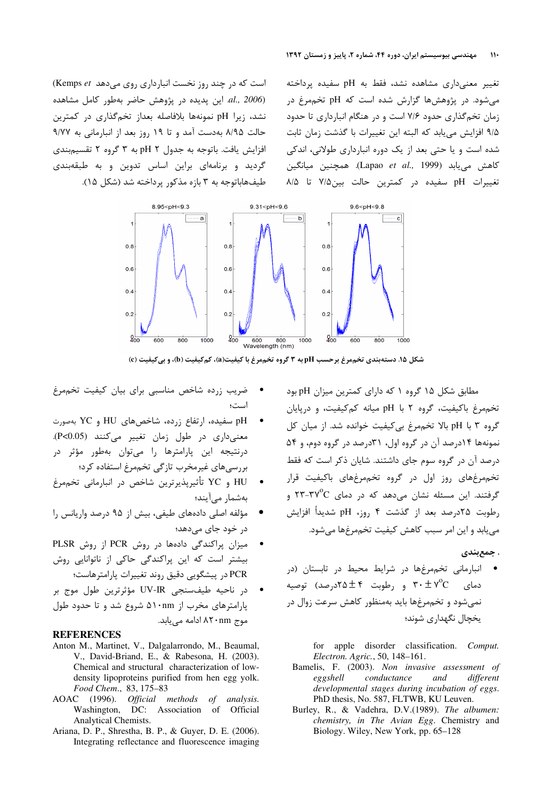تغییر معنیداری مشاهده نشد، فقط به pH سفیده پرداخته میشود. در پژوهشها گزارش شده است که pH تخممرغ در زمان تخم گذاری حدود ۷/۶ است و در هنگام انبارداری تا حدود ۹/۵ افزایش می یابد که البته این تغییرات با گذشت زمان ثابت شده است و یا حتی بعد از یک دوره انبارداری طولانی، اندکی كاهش مى يابد (Lapao et al., 1999). همچنين ميانگين تغييرات pH سفيده در كمترين حالت بين ٧/٥ تا ٨/٥

(Kemps et است که در چند روز نخست انبارداری روی می دهد Kemps et) al., 2006) این پدیده در پژوهش حاضر بهطور کامل مشاهده نشد، زيرا pH نمونهها بلافاصله بعداز تخم گذارى در كمترين حالت ٨/٩۵ به دست آمد و تا ١٩ روز بعد از انبارماني به ٩/٧٧ افزایش یافت. باتوجه به جدول pH ۲ به ۳ گروه ۲ تقسیمبندی گردید و برنامهای براین اساس تدوین و به طبقهبندی طیفهاباتوجه به ۳ بازه مذکور پرداخته شد (شکل ۱۵).



شکل ۱۵. دستهبندی تخممرغ برحسب pH به ۳ گروه تخممرغ با کیفیت(a)، کمکیفیت (b)، و بیکیفیت (c)

مطابق شکل ۱۵ گروه ۱ که دارای کمترین میزان pH بود تخم مرغ باکیفیت، گروه ۲ با pH میانه کم کیفیت، و دریایان گروه ۳ با pH بالا تخممرغ بی کیفیت خوانده شد. از میان کل نمونهها ۱۴درصد آن در گروه اول، ۳۱درصد در گروه دوم، و ۵۴ درصد آن در گروه سوم جای داشتند. شایان ذکر است که فقط تخمهرغهای روز اول در گروه تخمهرغهای باکیفیت قرار گرفتند. این مسئله نشان می دهد که در دمای ۳۷<sup>۰</sup>C-۲۳ رطوبت ۲۵درصد بعد از گذشت ۴ روز، pH شدیداً افزایش مے یابد و این امر سبب کاهش کیفیت تخم مرغها مے شود.

. جمع بندي

• انبارمانی تخممرغها در شرایط محیط در تابستان (در دمای  $\tau^{\circ}\texttt{C}$  و رطوبت ۲۵ $\pm$ ۲۵درصد) توصیه نمیشود و تخممرغها باید بهمنظور کاهش سرعت زوال در یخچال نگهداری شوند؛

> for apple disorder classification. Comput. Electron. Agric., 50, 148-161.

- Bamelis, F. (2003). Non invasive assessment of conductance and eggshell different developmental stages during incubation of eggs. PhD thesis, No. 587, FLTWB, KU Leuven.
- Burley, R., & Vadehra, D.V.(1989). The albumen: chemistry, in The Avian Egg. Chemistry and Biology. Wiley, New York, pp. 65-128
- ضریب زرده شاخص مناسبی برای بیان کیفیت تخممرغ است؛
- pH سفیده، ارتفاع زرده، شاخصهای HU و YC بهصورت معنی داری در طول زمان تغییر میکنند (P<0.05). درنتيجه اين پارامترها را مى توان بهطور مؤثر در بررسی های غیرمخرب تازگی تخممرغ استفاده کرد؛
- $\bullet$ HU و YC تأثيرپذيرترين شاخص در انبارماني تخممرغ بەشمار مى آيند؛
- مؤلفه اصلی دادههای طیفی، بیش از ۹۵ درصد واریانس را در خود جای میدهد؛
- میزان پراکندگی دادهها در روش PCR از روش PLSR بیشتر است که این پراکندگی حاکی از ناتوانایی روش PCR در پیشگویی دقیق روند تغییرات پارامترهاست؛
- در ناحيه طيف سنجى UV-IR مؤثرترين طول موج بر پارامترهای مخرب از ۵۱۰nm شروع شد و تا حدود طول موج ۸۲۰nm ادامه می بابد.

# **REFERENCES**

- Anton M., Martinet, V., Dalgalarrondo, M., Beaumal, V., David-Briand, E., & Rabesona, H. (2003). Chemical and structural characterization of lowdensity lipoproteins purified from hen egg yolk. Food Chem., 83, 175-83
- AOAC (1996). Official methods of analysis. Washington, DC: Association of Official Analytical Chemists.
- Ariana, D. P., Shrestha, B. P., & Guyer, D. E. (2006). Integrating reflectance and fluorescence imaging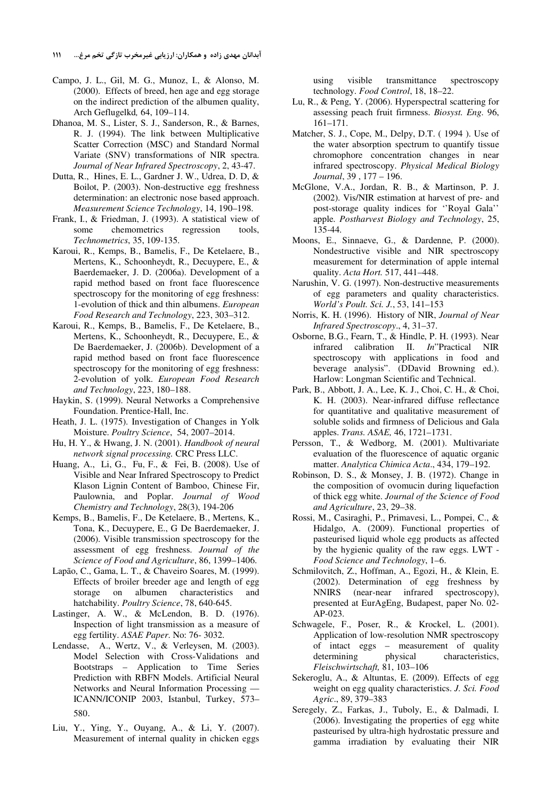- Campo, J. L., Gil, M. G., Munoz, I., & Alonso, M. (2000). Effects of breed, hen age and egg storage on the indirect prediction of the albumen quality, Arch Geflugelkd*,* 64, 109–114.
- Dhanoa, M. S., Lister, S. J., Sanderson, R., & Barnes, R. J. (1994). The link between Multiplicative Scatter Correction (MSC) and Standard Normal Variate (SNV) transformations of NIR spectra. *Journal of Near Infrared Spectroscopy*, 2, 43-47.
- Dutta, R., Hines, E. L., Gardner J. W., Udrea, D. D, & Boilot, P. (2003). Non-destructive egg freshness determination: an electronic nose based approach. *Measurement Science Technology*, 14, 190–198.
- Frank, I., & Friedman, J. (1993). A statistical view of some chemometrics regression tools, *Technometrics*, 35, 109-135.
- Karoui, R., Kemps, B., Bamelis, F., De Ketelaere, B., Mertens, K., Schoonheydt, R., Decuypere, E., & Baerdemaeker, J. D. (2006a). Development of a rapid method based on front face fluorescence spectroscopy for the monitoring of egg freshness: 1-evolution of thick and thin albumens. *European Food Research and Technology*, 223, 303–312.
- Karoui, R., Kemps, B., Bamelis, F., De Ketelaere, B., Mertens, K., Schoonheydt, R., Decuypere, E., & De Baerdemaeker, J. (2006b). Development of a rapid method based on front face fluorescence spectroscopy for the monitoring of egg freshness: 2-evolution of yolk. *European Food Research and Technology*, 223, 180–188.
- Haykin, S. (1999). Neural Networks a Comprehensive Foundation. Prentice-Hall, Inc.
- Heath, J. L. (1975). Investigation of Changes in Yolk Moisture. *Poultry Science*, 54, 2007–2014.
- Hu, H. Y., & Hwang, J. N. (2001). *Handbook of neural network signal processing.* CRC Press LLC.
- Huang, A., Li, G., Fu, F., & Fei, B. (2008). Use of Visible and Near Infrared Spectroscopy to Predict Klason Lignin Content of Bamboo, Chinese Fir, Paulownia, and Poplar. *Journal of Wood Chemistry and Technology*, 28(3), 194-206
- Kemps, B., Bamelis, F., De Ketelaere, B., Mertens, K., Tona, K., Decuypere, E., G De Baerdemaeker, J. (2006). Visible transmission spectroscopy for the assessment of egg freshness. *Journal of the Science of Food and Agriculture*, 86, 1399–1406.
- Lapão, C., Gama, L. T., & Chaveiro Soares, M. (1999). Effects of broiler breeder age and length of egg storage on albumen characteristics and hatchability. *Poultry Science*, 78, 640-645.
- Lastinger, A. W., & McLendon, B. D. (1976). Inspection of light transmission as a measure of egg fertility. *ASAE Paper*. No: 76- 3032.
- Lendasse, A., Wertz, V., & Verleysen, M. (2003). Model Selection with Cross-Validations and Bootstraps – Application to Time Series Prediction with RBFN Models. Artificial Neural Networks and Neural Information Processing — ICANN/ICONIP 2003, Istanbul, Turkey, 573– 580.
- Liu, Y., Ying, Y., Ouyang, A., & Li, Y. (2007). Measurement of internal quality in chicken eggs

using visible transmittance spectroscopy technology. *Food Control*, 18, 18–22.

- Lu, R., & Peng, Y. (2006). Hyperspectral scattering for assessing peach fruit firmness. *Biosyst. Eng.* 96, 161–171.
- Matcher, S. J., Cope, M., Delpy, D.T. ( 1994 ). Use of the water absorption spectrum to quantify tissue chromophore concentration changes in near infrared spectroscopy. *Physical Medical Biology Journal*, 39 , 177 – 196.
- McGlone, V.A., Jordan, R. B., & Martinson, P. J. (2002). Vis/NIR estimation at harvest of pre- and post-storage quality indices for ''Royal Gala'' apple. *Postharvest Biology and Technology*, 25, 135-44.
- Moons, E., Sinnaeve, G., & Dardenne, P. (2000). Nondestructive visible and NIR spectroscopy measurement for determination of apple internal quality. *Acta Hort.* 517, 441–448.
- Narushin, V. G. (1997). Non-destructive measurements of egg parameters and quality characteristics. *World's Poult. Sci. J.*, 53, 141–153
- Norris, K. H. (1996). History of NIR, *Journal of Near Infrared Spectroscopy*., 4, 31–37.
- Osborne, B.G., Fearn, T., & Hindle, P. H. (1993). Near infrared calibration II. *In*"Practical NIR spectroscopy with applications in food and beverage analysis". (DDavid Browning ed.). Harlow: Longman Scientific and Technical.
- Park, B., Abbott, J. A., Lee, K. J., Choi, C. H., & Choi, K. H. (2003). Near-infrared diffuse reflectance for quantitative and qualitative measurement of soluble solids and firmness of Delicious and Gala apples. *Trans. ASAE,* 46, 1721–1731.
- Persson, T., & Wedborg, M. (2001). Multivariate evaluation of the fluorescence of aquatic organic matter. *Analytica Chimica Acta*., 434, 179–192.
- Robinson, D. S., & Monsey, J. B. (1972). Change in the composition of ovomucin during liquefaction of thick egg white. *Journal of the Science of Food and Agriculture*, 23, 29–38.
- Rossi, M., Casiraghi, P., Primavesi, L., Pompei, C., & Hidalgo, A. (2009). Functional properties of pasteurised liquid whole egg products as affected by the hygienic quality of the raw eggs. LWT - *Food Science and Technology*, 1–6.
- Schmilovitch, Z., Hoffman, A., Egozi, H., & Klein, E. (2002). Determination of egg freshness by NNIRS (near-near infrared spectroscopy), presented at EurAgEng, Budapest, paper No. 02- AP-023.
- Schwagele, F., Poser, R., & Krockel, L. (2001). Application of low-resolution NMR spectroscopy of intact eggs – measurement of quality<br>determining physical characteristics, characteristics, *Fleischwirtschaft,* 81, 103–106
- Sekeroglu, A., & Altuntas, E. (2009). Effects of egg weight on egg quality characteristics. *J. Sci. Food Agric*., 89, 379–383
- Seregely, Z., Farkas, J., Tuboly, E., & Dalmadi, I. (2006). Investigating the properties of egg white pasteurised by ultra-high hydrostatic pressure and gamma irradiation by evaluating their NIR

آبدانان مهدی زاده و همکاران: ارزیابی غیرمخرب تازگی تخم مرغ… ۱۱۱